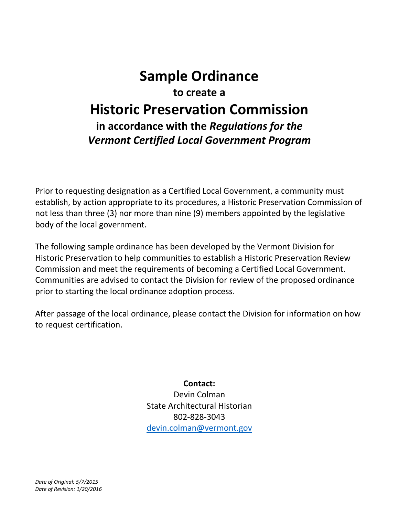## **Sample Ordinance to create a Historic Preservation Commission in accordance with the** *Regulations for the Vermont Certified Local Government Program*

Prior to requesting designation as a Certified Local Government, a community must establish, by action appropriate to its procedures, a Historic Preservation Commission of not less than three (3) nor more than nine (9) members appointed by the legislative body of the local government.

The following sample ordinance has been developed by the Vermont Division for Historic Preservation to help communities to establish a Historic Preservation Review Commission and meet the requirements of becoming a Certified Local Government. Communities are advised to contact the Division for review of the proposed ordinance prior to starting the local ordinance adoption process.

After passage of the local ordinance, please contact the Division for information on how to request certification.

> **Contact:** Devin Colman State Architectural Historian 802-828-3043 [devin.colman@vermont.gov](mailto:devin.colman@vermont.gov)

*Date of Original: 5/7/2015 Date of Revision: 1/20/2016*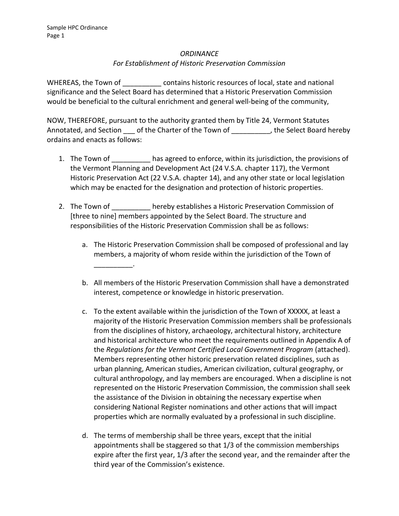## *ORDINANCE*

## *For Establishment of Historic Preservation Commission*

WHEREAS, the Town of **Example 20 contains historic resources of local, state and national** significance and the Select Board has determined that a Historic Preservation Commission would be beneficial to the cultural enrichment and general well-being of the community,

NOW, THEREFORE, pursuant to the authority granted them by Title 24, Vermont Statutes Annotated, and Section \_\_\_ of the Charter of the Town of \_\_\_\_\_\_\_\_\_\_, the Select Board hereby ordains and enacts as follows:

- 1. The Town of has agreed to enforce, within its jurisdiction, the provisions of the Vermont Planning and Development Act (24 V.S.A. chapter 117), the Vermont Historic Preservation Act (22 V.S.A. chapter 14), and any other state or local legislation which may be enacted for the designation and protection of historic properties.
- 2. The Town of hereby establishes a Historic Preservation Commission of [three to nine] members appointed by the Select Board. The structure and responsibilities of the Historic Preservation Commission shall be as follows:
	- a. The Historic Preservation Commission shall be composed of professional and lay members, a majority of whom reside within the jurisdiction of the Town of \_\_\_\_\_\_\_\_\_\_.
	- b. All members of the Historic Preservation Commission shall have a demonstrated interest, competence or knowledge in historic preservation.
	- c. To the extent available within the jurisdiction of the Town of XXXXX, at least a majority of the Historic Preservation Commission members shall be professionals from the disciplines of history, archaeology, architectural history, architecture and historical architecture who meet the requirements outlined in Appendix A of the *Regulations for the Vermont Certified Local Government Program* (attached). Members representing other historic preservation related disciplines, such as urban planning, American studies, American civilization, cultural geography, or cultural anthropology, and lay members are encouraged. When a discipline is not represented on the Historic Preservation Commission, the commission shall seek the assistance of the Division in obtaining the necessary expertise when considering National Register nominations and other actions that will impact properties which are normally evaluated by a professional in such discipline.
	- d. The terms of membership shall be three years, except that the initial appointments shall be staggered so that 1/3 of the commission memberships expire after the first year, 1/3 after the second year, and the remainder after the third year of the Commission's existence.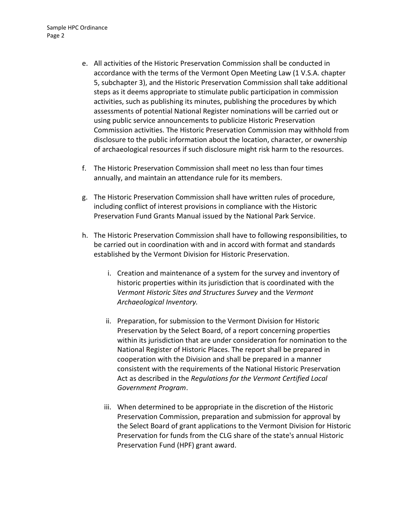- e. All activities of the Historic Preservation Commission shall be conducted in accordance with the terms of the Vermont Open Meeting Law (1 V.S.A. chapter 5, subchapter 3), and the Historic Preservation Commission shall take additional steps as it deems appropriate to stimulate public participation in commission activities, such as publishing its minutes, publishing the procedures by which assessments of potential National Register nominations will be carried out or using public service announcements to publicize Historic Preservation Commission activities. The Historic Preservation Commission may withhold from disclosure to the public information about the location, character, or ownership of archaeological resources if such disclosure might risk harm to the resources.
- f. The Historic Preservation Commission shall meet no less than four times annually, and maintain an attendance rule for its members.
- g. The Historic Preservation Commission shall have written rules of procedure, including conflict of interest provisions in compliance with the Historic Preservation Fund Grants Manual issued by the National Park Service.
- h. The Historic Preservation Commission shall have to following responsibilities, to be carried out in coordination with and in accord with format and standards established by the Vermont Division for Historic Preservation.
	- i. Creation and maintenance of a system for the survey and inventory of historic properties within its jurisdiction that is coordinated with the *Vermont Historic Sites and Structures Survey* and the *Vermont Archaeological Inventory.*
	- ii. Preparation, for submission to the Vermont Division for Historic Preservation by the Select Board, of a report concerning properties within its jurisdiction that are under consideration for nomination to the National Register of Historic Places. The report shall be prepared in cooperation with the Division and shall be prepared in a manner consistent with the requirements of the National Historic Preservation Act as described in the *Regulations for the Vermont Certified Local Government Program*.
	- iii. When determined to be appropriate in the discretion of the Historic Preservation Commission, preparation and submission for approval by the Select Board of grant applications to the Vermont Division for Historic Preservation for funds from the CLG share of the state's annual Historic Preservation Fund (HPF) grant award.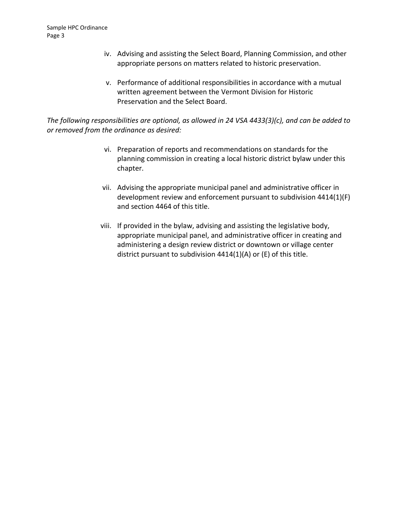- iv. Advising and assisting the Select Board, Planning Commission, and other appropriate persons on matters related to historic preservation.
- v. Performance of additional responsibilities in accordance with a mutual written agreement between the Vermont Division for Historic Preservation and the Select Board.

*The following responsibilities are optional, as allowed in 24 VSA 4433(3)(c), and can be added to or removed from the ordinance as desired:*

- vi. Preparation of reports and recommendations on standards for the planning commission in creating a local historic district bylaw under this chapter.
- vii. Advising the appropriate municipal panel and administrative officer in development review and enforcement pursuant to subdivision 4414(1)(F) and section 4464 of this title.
- viii. If provided in the bylaw, advising and assisting the legislative body, appropriate municipal panel, and administrative officer in creating and administering a design review district or downtown or village center district pursuant to subdivision 4414(1)(A) or (E) of this title.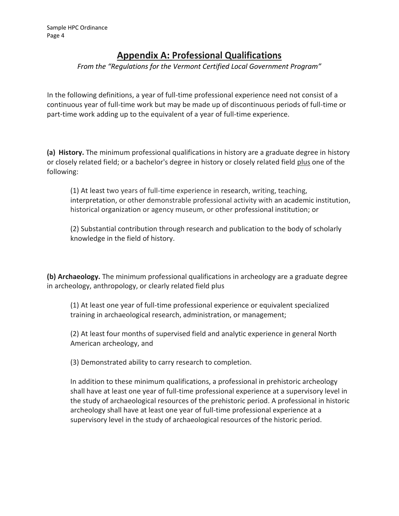## **Appendix A: Professional Qualifications**

*From the "Regulations for the Vermont Certified Local Government Program"*

In the following definitions, a year of full-time professional experience need not consist of a continuous year of full-time work but may be made up of discontinuous periods of full-time or part-time work adding up to the equivalent of a year of full-time experience.

**(a) History.** The minimum professional qualifications in history are a graduate degree in history or closely related field; or a bachelor's degree in history or closely related field plus one of the following:

(1) At least two years of full-time experience in research, writing, teaching, interpretation, or other demonstrable professional activity with an academic institution, historical organization or agency museum, or other professional institution; or

(2) Substantial contribution through research and publication to the body of scholarly knowledge in the field of history.

**(b) Archaeology.** The minimum professional qualifications in archeology are a graduate degree in archeology, anthropology, or clearly related field plus

(1) At least one year of full-time professional experience or equivalent specialized training in archaeological research, administration, or management;

(2) At least four months of supervised field and analytic experience in general North American archeology, and

(3) Demonstrated ability to carry research to completion.

In addition to these minimum qualifications, a professional in prehistoric archeology shall have at least one year of full-time professional experience at a supervisory level in the study of archaeological resources of the prehistoric period. A professional in historic archeology shall have at least one year of full-time professional experience at a supervisory level in the study of archaeological resources of the historic period.